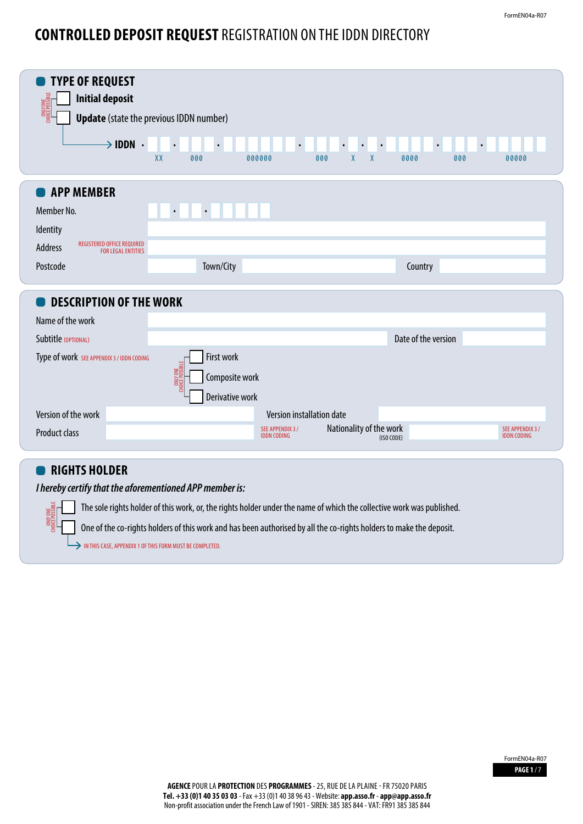## **CONTROLLED DEPOSIT REQUEST** REGISTRATION ON THE IDDN DIRECTORY

| <b>ONLY ONE</b><br>CHOICE POSSIBLE                                               | <b>Update</b> (state the previous IDDN number) |                           |                                      |                     |                           |
|----------------------------------------------------------------------------------|------------------------------------------------|---------------------------|--------------------------------------|---------------------|---------------------------|
| $\rightarrow$ IDDN $\cdot$                                                       | XX<br>000                                      | $\bullet$<br>000000       | $\bullet$<br>$\chi$<br>000<br>$\chi$ | $\bullet$<br>0000   | $\bullet$<br>000<br>00000 |
|                                                                                  |                                                |                           |                                      |                     |                           |
| <b>APP MEMBER</b>                                                                |                                                |                           |                                      |                     |                           |
| Member No.                                                                       | $\bullet$<br>$\bullet$                         |                           |                                      |                     |                           |
| Identity                                                                         |                                                |                           |                                      |                     |                           |
| <b>REGISTERED OFFICE REQUIRED</b><br><b>Address</b><br><b>FOR LEGAL ENTITIES</b> |                                                |                           |                                      |                     |                           |
| Postcode                                                                         | Town/City                                      |                           |                                      | Country             |                           |
| <b>DESCRIPTION OF THE WORK</b>                                                   |                                                |                           |                                      |                     |                           |
| Name of the work                                                                 |                                                |                           |                                      |                     |                           |
| Subtitle (OPTIONAL)                                                              |                                                |                           |                                      | Date of the version |                           |
| Type of work SEE APPENDIX 3 / IDDN CODING                                        | First work                                     |                           |                                      |                     |                           |
|                                                                                  | ONLY ONE<br>nice possible<br>Composite work    |                           |                                      |                     |                           |
|                                                                                  | Derivative work                                |                           |                                      |                     |                           |
| Version of the work                                                              |                                                | Version installation date |                                      |                     |                           |
| Product class                                                                    |                                                | SEE APPENDIX 3 /          | Nationality of the work              |                     | SEE APPENDIX 3 /          |
|                                                                                  |                                                | <b>IDDN CODING</b>        |                                      | (ISO CODE)          | <b>IDDN CODING</b>        |

The sole rights holder of this work, or, the rights holder under the name of which the collective work was published.

One of the co-rights holders of this work and has been authorised by all the co-rights holders to make the deposit.

 $\rightarrow$  IN THIS CASE, APPENDIX 1 OF THIS FORM MUST BE COMPLETED.

**ONLY** CHOICE POSSIBLE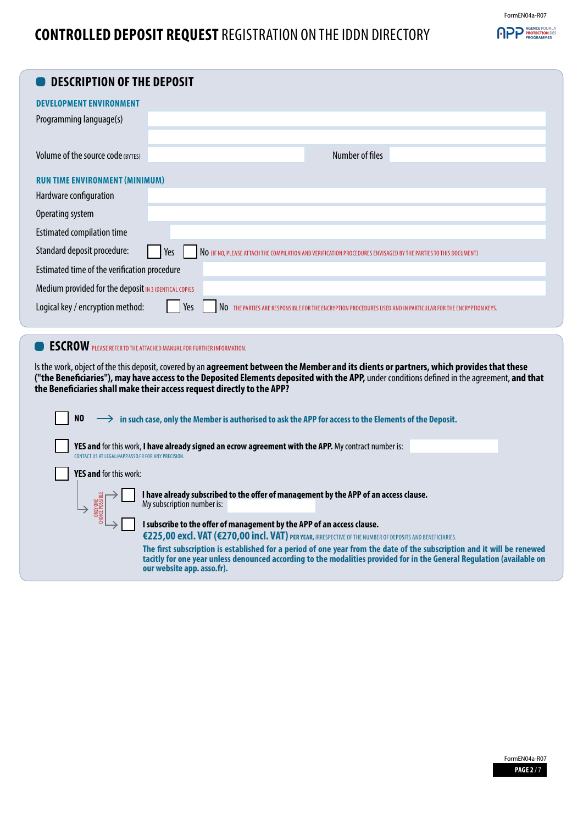## FormEN04a-R07 **APP AGENCE POUR LA**

## **CONTROLLED DEPOSIT REQUEST** REGISTRATION ON THE IDDN DIRECTORY

| <b>DESCRIPTION OF THE DEPOSIT</b>                                                                                                                         |                                                                                                                                                                                                                                                                                            |  |  |  |  |
|-----------------------------------------------------------------------------------------------------------------------------------------------------------|--------------------------------------------------------------------------------------------------------------------------------------------------------------------------------------------------------------------------------------------------------------------------------------------|--|--|--|--|
|                                                                                                                                                           |                                                                                                                                                                                                                                                                                            |  |  |  |  |
| <b>DEVELOPMENT ENVIRONMENT</b>                                                                                                                            |                                                                                                                                                                                                                                                                                            |  |  |  |  |
| Programming language(s)                                                                                                                                   |                                                                                                                                                                                                                                                                                            |  |  |  |  |
|                                                                                                                                                           |                                                                                                                                                                                                                                                                                            |  |  |  |  |
| Volume of the source code (BYTES)                                                                                                                         | Number of files                                                                                                                                                                                                                                                                            |  |  |  |  |
| <b>RUN TIME ENVIRONMENT (MINIMUM)</b>                                                                                                                     |                                                                                                                                                                                                                                                                                            |  |  |  |  |
| Hardware configuration                                                                                                                                    |                                                                                                                                                                                                                                                                                            |  |  |  |  |
| Operating system                                                                                                                                          |                                                                                                                                                                                                                                                                                            |  |  |  |  |
| <b>Estimated compilation time</b>                                                                                                                         |                                                                                                                                                                                                                                                                                            |  |  |  |  |
| Standard deposit procedure:                                                                                                                               | Yes<br>NO (IF NO, PLEASE ATTACH THE COMPILATION AND VERIFICATION PROCEDURES ENVISAGED BY THE PARTIES TO THIS DOCUMENT)                                                                                                                                                                     |  |  |  |  |
| Estimated time of the verification procedure                                                                                                              |                                                                                                                                                                                                                                                                                            |  |  |  |  |
| Medium provided for the deposit IN 3 IDENTICAL COPIES                                                                                                     |                                                                                                                                                                                                                                                                                            |  |  |  |  |
| Logical key / encryption method:                                                                                                                          | Yes<br>NO THE PARTIES ARE RESPONSIBLE FOR THE ENCRYPTION PROCEDURES USED AND IN PARTICULAR FOR THE ENCRYPTION KEYS.                                                                                                                                                                        |  |  |  |  |
|                                                                                                                                                           |                                                                                                                                                                                                                                                                                            |  |  |  |  |
| <b>ESCROW</b> PLEASE REFER TO THE ATTACHED MANUAL FOR FURTHER INFORMATION.                                                                                |                                                                                                                                                                                                                                                                                            |  |  |  |  |
|                                                                                                                                                           |                                                                                                                                                                                                                                                                                            |  |  |  |  |
|                                                                                                                                                           | Is the work, object of the this deposit, covered by an agreement between the Member and its clients or partners, which provides that these<br>("the Beneficiaries"), may have access to the Deposited Elements deposited with the APP, under conditions defined in the agreement, and that |  |  |  |  |
|                                                                                                                                                           | the Beneficiaries shall make their access request directly to the APP?                                                                                                                                                                                                                     |  |  |  |  |
|                                                                                                                                                           |                                                                                                                                                                                                                                                                                            |  |  |  |  |
| N <sub>0</sub>                                                                                                                                            | in such case, only the Member is authorised to ask the APP for access to the Elements of the Deposit.                                                                                                                                                                                      |  |  |  |  |
| YES and for this work, I have already signed an ecrow agreement with the APP. My contract number is:<br>CONTACT US AT LEGAL@APP.ASSO.FR FOR ANY PRECISION |                                                                                                                                                                                                                                                                                            |  |  |  |  |
| <b>YES and for this work:</b>                                                                                                                             |                                                                                                                                                                                                                                                                                            |  |  |  |  |
|                                                                                                                                                           | I have already subscribed to the offer of management by the APP of an access clause.<br>My subscription number is:                                                                                                                                                                         |  |  |  |  |
|                                                                                                                                                           | I subscribe to the offer of management by the APP of an access clause.<br>€225,00 excl. VAT (€270,00 incl. VAT) PER YEAR, IRRESPECTIVE OF THE NUMBER OF DEPOSITS AND BENEFICIARIES.                                                                                                        |  |  |  |  |
|                                                                                                                                                           | The first subscription is established for a period of one year from the date of the subscription and it will be renewed<br>tacitly for one year unless denounced according to the modalities provided for in the General Regulation (available on<br>our website app. asso.fr).            |  |  |  |  |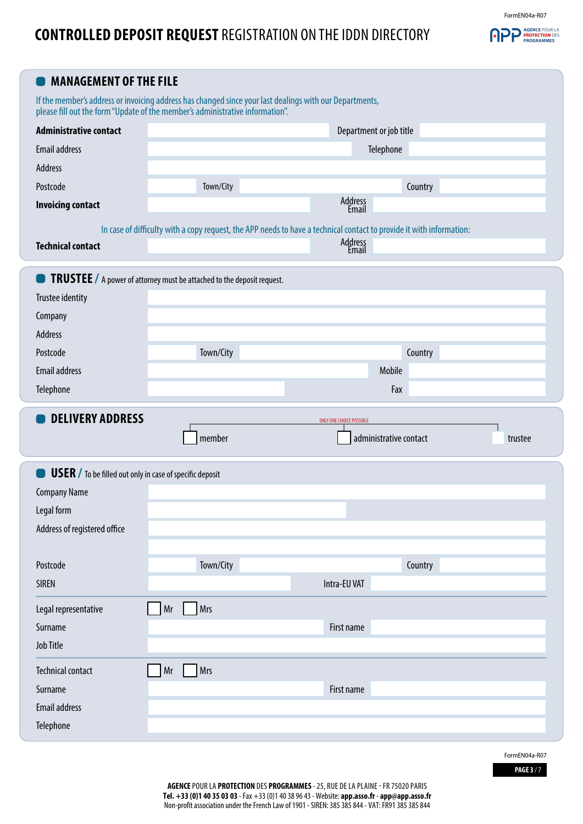## **CONTROLLED DEPOSIT REQUEST** REGISTRATION ON THE IDDN DIRECTORY

FormEN04a-R07



| <b>MANAGEMENT OF THE FILE</b>                                                          |                                                                                                                                                                                          |                                 |         |
|----------------------------------------------------------------------------------------|------------------------------------------------------------------------------------------------------------------------------------------------------------------------------------------|---------------------------------|---------|
|                                                                                        | If the member's address or invoicing address has changed since your last dealings with our Departments,<br>please fill out the form "Update of the member's administrative information". |                                 |         |
| <b>Administrative contact</b>                                                          |                                                                                                                                                                                          | Department or job title         |         |
| <b>Email address</b>                                                                   |                                                                                                                                                                                          | Telephone                       |         |
| <b>Address</b>                                                                         |                                                                                                                                                                                          |                                 |         |
| Postcode                                                                               | Town/City                                                                                                                                                                                |                                 | Country |
| <b>Invoicing contact</b>                                                               |                                                                                                                                                                                          | Address<br>Email                |         |
|                                                                                        | In case of difficulty with a copy request, the APP needs to have a technical contact to provide it with information:                                                                     |                                 |         |
| <b>Technical contact</b>                                                               |                                                                                                                                                                                          | Address<br>Email                |         |
|                                                                                        | <b>TRUSTEE</b> / A power of attorney must be attached to the deposit request.                                                                                                            |                                 |         |
| Trustee identity                                                                       |                                                                                                                                                                                          |                                 |         |
| Company                                                                                |                                                                                                                                                                                          |                                 |         |
| Address                                                                                |                                                                                                                                                                                          |                                 |         |
| Postcode                                                                               | Town/City                                                                                                                                                                                |                                 | Country |
| <b>Email address</b>                                                                   |                                                                                                                                                                                          | Mobile                          |         |
| Telephone                                                                              |                                                                                                                                                                                          | Fax                             |         |
| <b>DELIVERY ADDRESS</b>                                                                |                                                                                                                                                                                          | <b>ONLY ONE CHOICE POSSIBLE</b> |         |
|                                                                                        | member                                                                                                                                                                                   | administrative contact          | trustee |
|                                                                                        |                                                                                                                                                                                          |                                 |         |
|                                                                                        |                                                                                                                                                                                          |                                 |         |
| <b>USER</b> / To be filled out only in case of specific deposit<br><b>Company Name</b> |                                                                                                                                                                                          |                                 |         |
| Legal form                                                                             |                                                                                                                                                                                          |                                 |         |
| Address of registered office                                                           |                                                                                                                                                                                          |                                 |         |
|                                                                                        |                                                                                                                                                                                          |                                 |         |
| Postcode                                                                               | Town/City                                                                                                                                                                                |                                 | Country |
| <b>SIREN</b>                                                                           |                                                                                                                                                                                          | Intra-EU VAT                    |         |
| Legal representative                                                                   | Mr<br>Mrs                                                                                                                                                                                |                                 |         |
| Surname                                                                                |                                                                                                                                                                                          | First name                      |         |
| <b>Job Title</b>                                                                       |                                                                                                                                                                                          |                                 |         |
| <b>Technical contact</b>                                                               | Mrs                                                                                                                                                                                      |                                 |         |
| Surname                                                                                | Mr                                                                                                                                                                                       | First name                      |         |
| <b>Email address</b>                                                                   |                                                                                                                                                                                          |                                 |         |
| Telephone                                                                              |                                                                                                                                                                                          |                                 |         |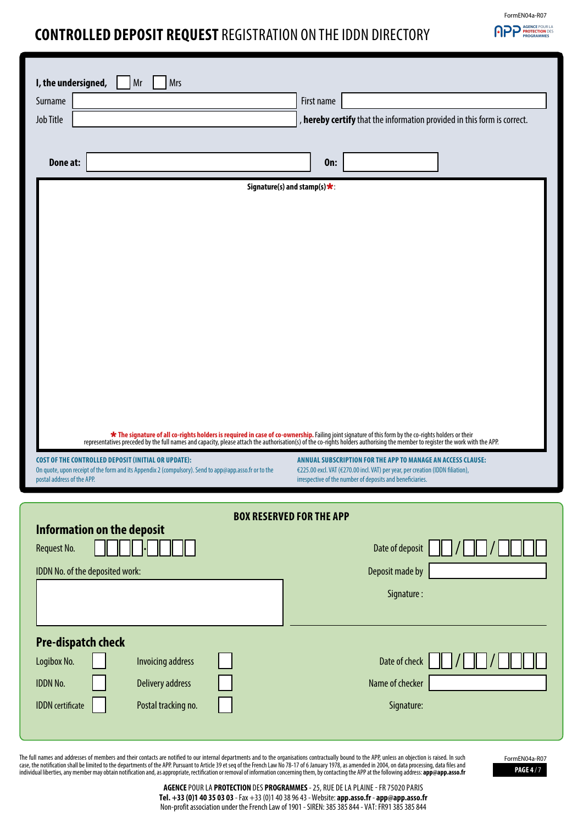## FormEN04a-R07 **APP PROTECTION DES**

## **CONTROLLED DEPOSIT REQUEST** REGISTRATION ON THE IDDN DIRECTORY

| I, the undersigned,<br><b>Mrs</b><br>Mr                                                                                             |                                                                                                                                                                                                                                    |
|-------------------------------------------------------------------------------------------------------------------------------------|------------------------------------------------------------------------------------------------------------------------------------------------------------------------------------------------------------------------------------|
| Surname                                                                                                                             | First name                                                                                                                                                                                                                         |
| Job Title                                                                                                                           | , hereby certify that the information provided in this form is correct.                                                                                                                                                            |
|                                                                                                                                     |                                                                                                                                                                                                                                    |
|                                                                                                                                     |                                                                                                                                                                                                                                    |
| Done at:                                                                                                                            | <b>On:</b>                                                                                                                                                                                                                         |
|                                                                                                                                     | Signature(s) and stamp(s) $\star$ :                                                                                                                                                                                                |
|                                                                                                                                     |                                                                                                                                                                                                                                    |
|                                                                                                                                     |                                                                                                                                                                                                                                    |
|                                                                                                                                     |                                                                                                                                                                                                                                    |
|                                                                                                                                     |                                                                                                                                                                                                                                    |
|                                                                                                                                     |                                                                                                                                                                                                                                    |
|                                                                                                                                     |                                                                                                                                                                                                                                    |
|                                                                                                                                     |                                                                                                                                                                                                                                    |
|                                                                                                                                     |                                                                                                                                                                                                                                    |
|                                                                                                                                     |                                                                                                                                                                                                                                    |
|                                                                                                                                     |                                                                                                                                                                                                                                    |
|                                                                                                                                     |                                                                                                                                                                                                                                    |
|                                                                                                                                     |                                                                                                                                                                                                                                    |
|                                                                                                                                     | <b>*</b> The signature of all co-rights holders is required in case of co-ownership. Failing joint signature of this form by the co-rights holders or their representatives preceded by the full names and capacity, please attach |
| <b>COST OF THE CONTROLLED DEPOSIT (INITIAL OR UPDATE):</b>                                                                          | ANNUAL SUBSCRIPTION FOR THE APP TO MANAGE AN ACCESS CLAUSE:                                                                                                                                                                        |
| On quote, upon receipt of the form and its Appendix 2 (compulsory). Send to app@app.asso.fr or to the<br>postal address of the APP. | €225.00 excl. VAT (€270.00 incl. VAT) per year, per creation (IDDN filiation),<br>irrespective of the number of deposits and beneficiaries.                                                                                        |
|                                                                                                                                     |                                                                                                                                                                                                                                    |
|                                                                                                                                     | <b>BOX RESERVED FOR THE APP</b>                                                                                                                                                                                                    |
| <b>Information on the deposit</b>                                                                                                   |                                                                                                                                                                                                                                    |
| Request No.                                                                                                                         | Date of deposit                                                                                                                                                                                                                    |
| IDDN No. of the deposited work:                                                                                                     | Deposit made by                                                                                                                                                                                                                    |
|                                                                                                                                     |                                                                                                                                                                                                                                    |
|                                                                                                                                     | Signature:                                                                                                                                                                                                                         |
|                                                                                                                                     |                                                                                                                                                                                                                                    |
| <b>Pre-dispatch check</b>                                                                                                           |                                                                                                                                                                                                                                    |
| Logibox No.<br><b>Invoicing address</b>                                                                                             | Date of check                                                                                                                                                                                                                      |
| <b>IDDN No.</b><br><b>Delivery address</b>                                                                                          | Name of checker                                                                                                                                                                                                                    |
|                                                                                                                                     |                                                                                                                                                                                                                                    |
| <b>IDDN</b> certificate<br>Postal tracking no.                                                                                      | Signature:                                                                                                                                                                                                                         |
|                                                                                                                                     |                                                                                                                                                                                                                                    |

The full names and addresses of members and their contacts are notified to our internal departments and to the organisations contractually bound to the APP, unless an objection is raised. In such<br>case, the notification sha

**PAGE 4** / 7 FormEN04a-R07

**AGENCE**POUR LA **PROTECTION** DES **PROGRAMMES**- 25, RUE DE LA PLAINE - FR 75020 PARIS **Tel. +33 (0)1 40 35 03 03** - Fax +33 (0)1 40 38 96 43 - Website: **app.asso.fr** - **app@app.asso.fr** Non-profit association under the French Law of 1901 - SIREN: 385 385 844 - VAT: FR91 385 385 844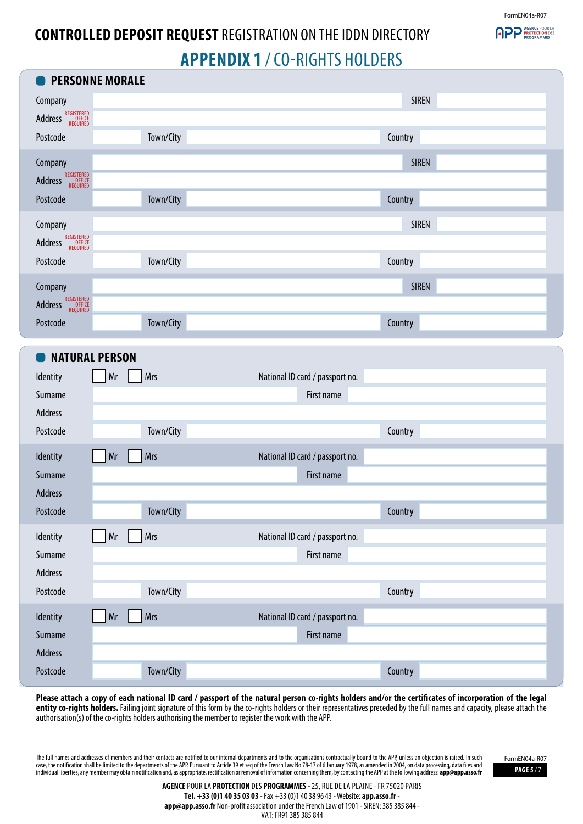FormEN04a-R07

**PPP PROTECTION DES** 

# **CONTROLLED DEPOSIT REQUEST** REGISTRATION ON THE IDDN DIRECTORY **APPENDIX 1** / CO-RIGHTS HOLDERS

| <b>PERSONNE MORALE</b>                               |                                 |
|------------------------------------------------------|---------------------------------|
| Company                                              | <b>SIREN</b>                    |
| Address REGISTERED                                   |                                 |
| Town/City<br>Postcode                                | Country                         |
| Company                                              | <b>SIREN</b>                    |
| <b>Address REGISTERED</b><br><b>Address REQUIRED</b> |                                 |
| Town/City<br>Postcode                                | Country                         |
| Company                                              | <b>SIREN</b>                    |
| Address REGISTERED                                   |                                 |
| Town/City<br>Postcode                                | Country                         |
| Company                                              | <b>SIREN</b>                    |
| REGISTERED<br>OFFICE<br>REQUIRED<br>Address          |                                 |
| Town/City<br>Postcode                                | Country                         |
| <b>NATURAL PERSON</b>                                |                                 |
| <b>Mrs</b><br>Mr<br>Identity                         | National ID card / passport no. |
| Surname                                              | First name                      |
| Address                                              |                                 |
| Town/City<br>Postcode                                | Country                         |
| Mrs<br>Mr<br>Identity                                | National ID card / passport no. |
| Surname                                              | First name                      |
| Address                                              |                                 |
| Town/City<br>Postcode                                | Country                         |
| Mrs<br>Identity<br>Mr                                | National ID card / passport no. |
| Surname                                              | First name                      |
| Address                                              |                                 |
| Town/City<br>Postcode                                | Country                         |
| Mrs<br>Mr<br>Identity                                | National ID card / passport no. |
| Surname                                              | First name                      |
| Address                                              |                                 |
|                                                      |                                 |

**Please attach a copy of each national ID card / passport of the natural person co-rights holders and/or the certificates of incorporation of the legal entity co-rights holders.** Failing joint signature of this form by the co-rights holders or their representatives preceded by the full names and capacity, please attach the authorisation(s) of the co-rights holders authorising the member to register the work with the APP.

The full names and addresses of members and their contacts are notified to our internal departments and to the organisations contractually bound to the APP, unless an objection is raised. In such case, the notification shall be limited to the departments of the APP. Pursuant to Article 39 et seq of the French Law No 78-17 of 6 January 1978, as amended in 2004, on data processing, data files and **PAGE 5 / 7 PAGE 5 /** 

FormEN04a-R07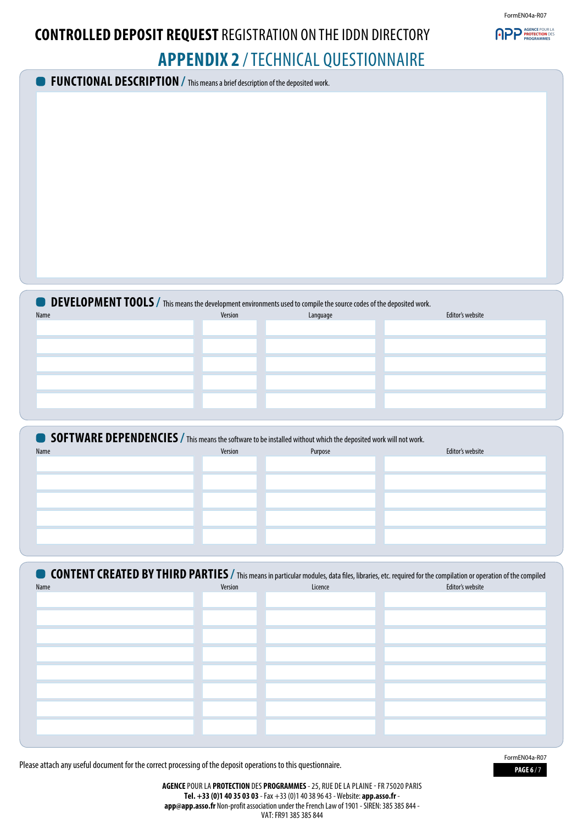

# **CONTROLLED DEPOSIT REQUEST** REGISTRATION ON THE IDDN DIRECTORY **APPENDIX 2** / TECHNICAL QUESTIONNAIRE

**FUNCTIONAL DESCRIPTION /** This means a brief description of the deposited work.

| <b>ODEVELOPMENT TOOLS</b> / This means the development environments used to compile the source codes of the deposited work. |         |          |                  |  |
|-----------------------------------------------------------------------------------------------------------------------------|---------|----------|------------------|--|
| Name                                                                                                                        | Version | Language | Editor's website |  |
|                                                                                                                             |         |          |                  |  |
|                                                                                                                             |         |          |                  |  |
|                                                                                                                             |         |          |                  |  |
|                                                                                                                             |         |          |                  |  |
|                                                                                                                             |         |          |                  |  |
|                                                                                                                             |         |          |                  |  |

| <b>SOFTWARE DEPENDENCIES</b> / This means the software to be installed without which the deposited work will not work. |         |         |                  |
|------------------------------------------------------------------------------------------------------------------------|---------|---------|------------------|
| Name                                                                                                                   | Version | Purpose | Editor's website |
|                                                                                                                        |         |         |                  |
|                                                                                                                        |         |         |                  |
|                                                                                                                        |         |         |                  |
|                                                                                                                        |         |         |                  |
|                                                                                                                        |         |         |                  |
|                                                                                                                        |         |         |                  |
|                                                                                                                        |         |         |                  |

| Name | Version | Licence | <b>CONTENT CREATED BY THIRD PARTIES</b> / This means in particular modules, data files, libraries, etc. required for the compilation or operation of the compiled<br>Editor's website |
|------|---------|---------|---------------------------------------------------------------------------------------------------------------------------------------------------------------------------------------|
|      |         |         |                                                                                                                                                                                       |
|      |         |         |                                                                                                                                                                                       |
|      |         |         |                                                                                                                                                                                       |
|      |         |         |                                                                                                                                                                                       |
|      |         |         |                                                                                                                                                                                       |
|      |         |         |                                                                                                                                                                                       |
|      |         |         |                                                                                                                                                                                       |
|      |         |         |                                                                                                                                                                                       |
|      |         |         |                                                                                                                                                                                       |

Please attach any useful document for the correct processing of the deposit operations to this questionnaire.

**PAGE 6** / 7 FormEN04a-R07

**AGENCE** POUR LA **PROTECTION** DES **PROGRAMMES** - 25, RUE DE LA PLAINE - FR 75020 PARIS **Tel. +33 (0)1 40 35 03 03** - Fax +33 (0)1 40 38 96 43 - Website: **app.asso.fr app@app.asso.fr** Non-profit association under the French Law of 1901 - SIREN: 385 385 844 - VAT: FR91 385 385 844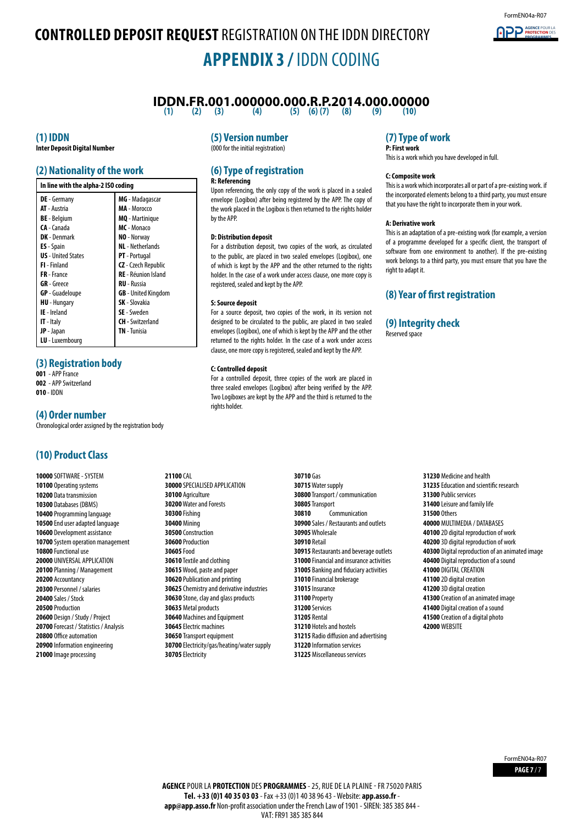# **CONTROLLED DEPOSIT REQUEST** REGISTRATION ON THE IDDN DIRECTORY **APPENDIX 3 /** IDDN CODING

## **IDDN.FR.001.000000.000.R.P.2014.000.00000**<br>(1) (2) (3) (4) (5) (6)(7) (8) (9) (9) (10)

**(1) (2) (3) (4) (5) (6) (7) (8) (9) (10)**

### **(1) IDDN**

**Inter Deposit Digital Number**

## **(2) Nationality of the work**

| In line with the alpha-2 ISO coding |                            |  |  |
|-------------------------------------|----------------------------|--|--|
| <b>DE</b> - Germany                 | MG - Madagascar            |  |  |
| <b>AT</b> - Austria                 | MA - Morocco               |  |  |
| <b>BE</b> - Belgium                 | <b>MQ</b> - Martinique     |  |  |
| CA - Canada                         | MC - Monaco                |  |  |
| <b>DK</b> - Denmark                 | NO - Norway                |  |  |
| <b>ES</b> - Spain                   | <b>NL</b> - Netherlands    |  |  |
| <b>US</b> - United States           | <b>PT</b> - Portugal       |  |  |
| <b>FI</b> - Finland                 | <b>CZ</b> - Czech Republic |  |  |
| FR-France                           | <b>RE</b> - Réunion Island |  |  |
| <b>GR</b> - Greece                  | <b>RU</b> - Russia         |  |  |
| <b>GP</b> - Guadeloupe              | <b>GB</b> - United Kingdom |  |  |
| <b>HU</b> - Hungary                 | <b>SK</b> - Slovakia       |  |  |
| <b>IE</b> - Ireland                 | <b>SE</b> - Sweden         |  |  |
| <b>IT</b> - Italy                   | <b>CH</b> - Switzerland    |  |  |
| <b>JP</b> - Japan                   | <b>TN</b> - Tunisia        |  |  |
| LU - Luxembourg                     |                            |  |  |

### **(3) Registration body**

**001** - APP France

**002** - APP Switzerland **010** - IDDN

#### **(4) Order number**

Chronological order assigned by the registration body

## **(10) Product Class**

 SOFTWARE - SYSTEM Operating systems Data transmission Databases (DBMS) Programming language End user adapted language Development assistance System operation management Functional use UNIVERSAL APPLICATION Planning / Management Accountancy Personnel / salaries Sales / Stock Production Design / Study / Project Forecast / Statistics / Analysis Office automation Information engineering Image processing

### **(5) Version number**

(000 for the initial registration)

#### **(6) Type of registration R: Referencing**

Upon referencing, the only copy of the work is placed in a sealed envelope (Logibox) after being registered by the APP. The copy of the work placed in the Logibox is then returned to the rights holder by the APP.

#### **D: Distribution deposit**

For a distribution deposit, two copies of the work, as circulated to the public, are placed in two sealed envelopes (Logibox), one of which is kept by the APP and the other returned to the rights holder. In the case of a work under access clause, one more copy is registered, sealed and kept by the APP.

#### **S: Source deposit**

For a source deposit, two copies of the work, in its version not designed to be circulated to the public, are placed in two sealed envelopes (Logibox), one of which is kept by the APP and the other returned to the rights holder. In the case of a work under access clause, one more copy is registered, sealed and kept by the APP.

#### **C: Controlled deposit**

For a controlled deposit, three copies of the work are placed in three sealed envelopes (Logibox) after being verified by the APP. Two Logiboxes are kept by the APP and the third is returned to the rights holder.

**21100** CAL SPECIALISED APPLICATION Agriculture Water and Forests **30300** Fishing **30400** Mining Construction Production **30605** Food Textile and clothing Wood, paste and paper Publication and printing Chemistry and derivative industries Stone, clay and glass products Metal products Machines and Equipment Electric machines Transport equipment Electricity/gas/heating/water supply Electricity

**30710** Gas Water supply Transport / communication Transport Communication Sales / Restaurants and outlets Wholesale **30910** Retail Restaurants and beverage outlets Financial and insurance activities Banking and fiduciary activities Financial brokerage Insurance **31100** Property **31200** Services **31205** Rental Hotels and hostels Radio diffusion and advertising Information services Miscellaneous services

## **(7) Type of work**

**P: First work** This is a work which you have developed in full.

#### **C: Composite work**

This is a work which incorporates all or part of a pre-existing work. if the incorporated elements belong to a third party, you must ensure that you have the right to incorporate them in your work.

#### **A: Derivative work**

This is an adaptation of a pre-existing work (for example, a version of a programme developed for a specific client, the transport of software from one environment to another). If the pre-existing work belongs to a third party, you must ensure that you have the right to adapt it.

### **(8) Year of first registration**

### **(9) Integrity check**

Reserved space

 Medicine and health Education and scientific research Public services Leisure and family life **31500** Others MULTIMEDIA / DATABASES 2D digital reproduction of work 3D digital reproduction of work Digital reproduction of an animated image Digital reproduction of a sound DIGITAL CREATION 2D digital creation 3D digital creation Creation of an animated image Digital creation of a sound Creation of a digital photo **42000** WEBSITE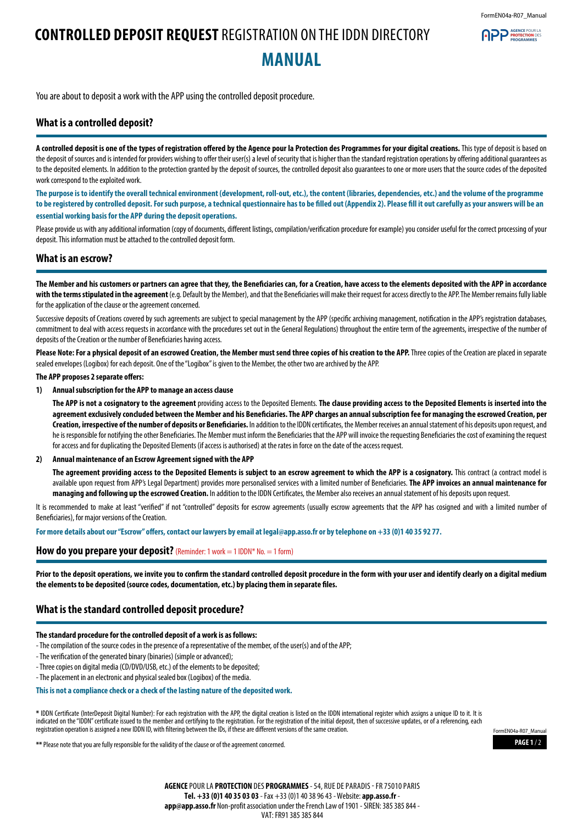**APP** AGENCE POUR

## **CONTROLLED DEPOSIT REQUEST** REGISTRATION ON THE IDDN DIRECTORY **MANUAL**

You are about to deposit a work with the APP using the controlled deposit procedure.

### **What is a controlled deposit?**

A controlled deposit is one of the types of registration offered by the Agence pour la Protection des Programmes for your digital creations. This type of deposit is based on the deposit of sources and is intended for providers wishing to offer their user(s) a level of security that is higher than the standard registration operations by offering additional guarantees as to the deposited elements. In addition to the protection granted by the deposit of sources, the controlled deposit also guarantees to one or more users that the source codes of the deposited work correspond to the exploited work.

**The purpose is to identify the overall technical environment (development, roll-out, etc.), the content (libraries, dependencies, etc.) and the volume of the programme to be registered by controlled deposit. For such purpose, a technical questionnaire has to be filled out (Appendix 2). Please fill it out carefully as your answers will be an essential working basis for the APP during the deposit operations.**

Please provide us with any additional information (copy of documents, different listings, compilation/verification procedure for example) you consider useful for the correct processing of your deposit. This information must be attached to the controlled deposit form.

#### **What is an escrow?**

**The Member and his customers or partners can agree that they, the Beneficiaries can, for a Creation, have access to the elements deposited with the APP in accordance**  with the terms stipulated in the agreement (e.g. Default by the Member), and that the Beneficiaries will make their request for access directly to the APP. The Member remains fully liable for the application of the clause or the agreement concerned.

Successive deposits of Creations covered by such agreements are subject to special management by the APP (specific archiving management, notification in the APP's registration databases, commitment to deal with access requests in accordance with the procedures set out in the General Regulations) throughout the entire term of the agreements, irrespective of the number of deposits of the Creation or the number of Beneficiaries having access.

Please Note: For a physical deposit of an escrowed Creation, the Member must send three copies of his creation to the APP. Three copies of the Creation are placed in separate sealed envelopes (Logibox) for each deposit. One of the "Logibox" is given to the Member, the other two are archived by the APP.

#### **The APP proposes 2 separate offers:**

#### **1) Annual subscription for the APP to manage an access clause**

**The APP is not a cosignatory to the agreement** providing access to the Deposited Elements. **The clause providing access to the Deposited Elements is inserted into the agreement exclusively concluded between the Member and his Beneficiaries. The APP charges an annual subscription fee for managing the escrowed Creation, per Creation, irrespective of the number of deposits or Beneficiaries.** In addition to the IDDN certificates, the Member receives an annual statement of his deposits upon request, and he is responsible for notifying the other Beneficiaries. The Member must inform the Beneficiaries that the APP will invoice the requesting Beneficiaries the cost of examining the request for access and for duplicating the Deposited Elements (if access is authorised) at the rates in force on the date of the access request.

#### **2) Annual maintenance of an Escrow Agreement signed with the APP**

The agreement providing access to the Deposited Elements is subject to an escrow agreement to which the APP is a cosignatory. This contract (a contract model is available upon request from APP's Legal Department) provides more personalised services with a limited number of Beneficiaries. **The APP invoices an annual maintenance for managing and following up the escrowed Creation.** In addition to the IDDN Certificates, the Member also receives an annual statement of his deposits upon request.

It is recommended to make at least "verified" if not "controlled" deposits for escrow agreements (usually escrow agreements that the APP has cosigned and with a limited number of Beneficiaries), for major versions of the Creation.

**For more details about our "Escrow" offers, contact our lawyers by email at legal@app.asso.fr or by telephone on +33 (0)1 40 35 92 77.**

#### **How do you prepare your deposit?** (Reminder: 1 work = 1 IDDN\* No. = 1 form)

**Prior to the deposit operations, we invite you to confirm the standard controlled deposit procedure in the form with your user and identify clearly on a digital medium the elements to be deposited (source codes, documentation, etc.) by placing them in separate files.**

### **What is the standard controlled deposit procedure?**

#### **The standard procedure for the controlled deposit of a work is as follows:**

- The compilation of the source codes in the presence of a representative of the member, of the user(s) and of the APP;
- The verification of the generated binary (binaries) (simple or advanced);
- Three copies on digital media (CD/DVD/USB, etc.) of the elements to be deposited;
- The placement in an electronic and physical sealed box (Logibox) of the media.

#### **This is not a compliance check or a check of the lasting nature of the deposited work.**

**\*** IDDN Certificate (InterDeposit Digital Number): For each registration with the APP, the digital creation is listed on the IDDN international register which assigns a unique ID to it. It is indicated on the "IDDN" certificate issued to the member and certifying to the registration. For the registration of the initial deposit, then of successive updates, or of a referencing, each registration operation is assigned a new IDDN ID, with filtering between the IDs, if these are different versions of the same creation.

**\*\*** Please note that you are fully responsible for the validity of the clause or of the agreement concerned.

**PAGE 1** / 2 FormEN04a-R07\_Manual

**AGENCE** POUR LA **PROTECTION** DES **PROGRAMMES**- 54, RUE DE PARADIS- FR 75010 PARIS **Tel. +33 (0)1 40 35 03 03** - Fax +33 (0)1 40 38 96 43 - Website: **app.asso.fr app@app.asso.fr** Non-profit association under the French Law of 1901 - SIREN: 385 385 844 - VAT: FR91 385 385 844